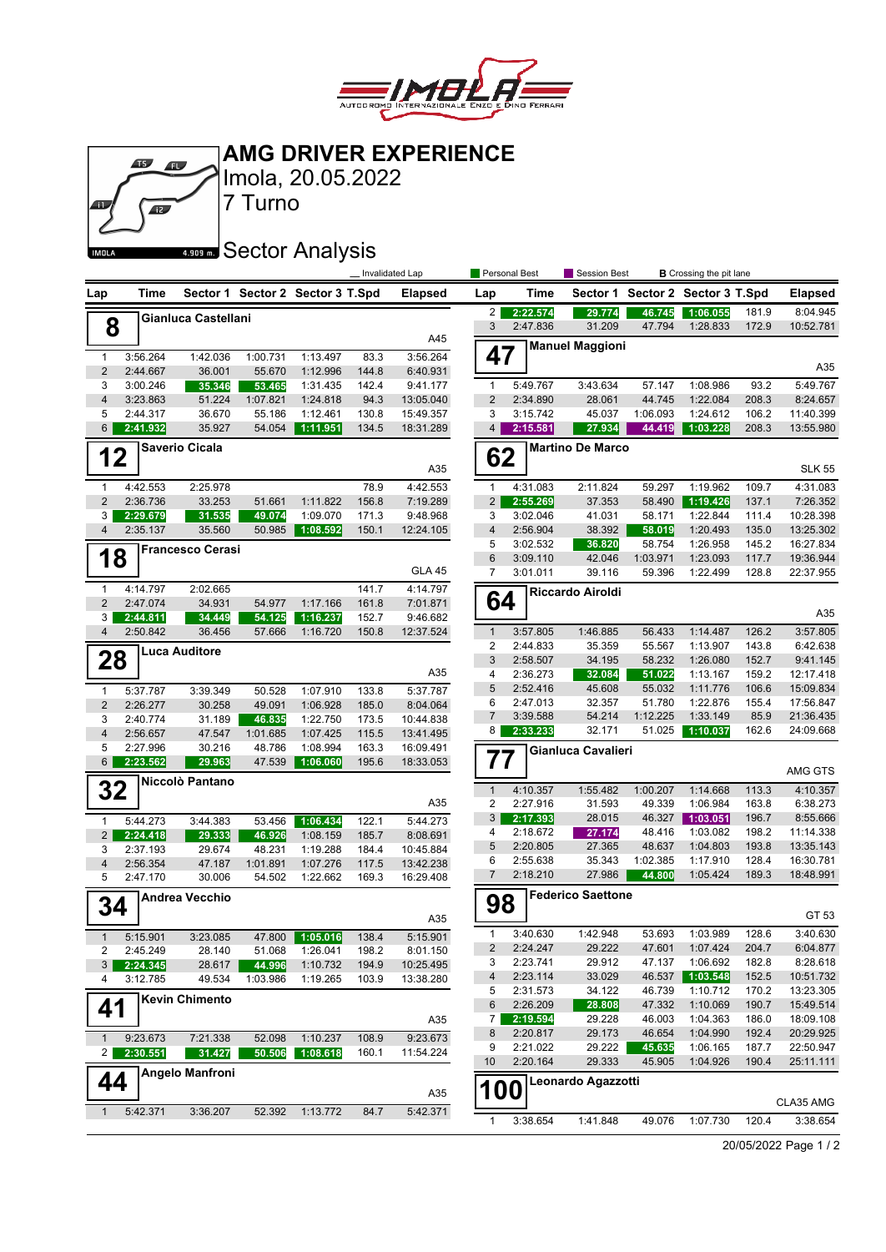

**AMG DRIVER EXPERIENCE**

|                     | $\sqrt{15}$          | <b>Aly</b>              | Imola, 20.05.2022                |                      |                | <b>AMG DRIVER EXPERIENCE</b> |                     |                      |                              |                    |                                  |                |                        |
|---------------------|----------------------|-------------------------|----------------------------------|----------------------|----------------|------------------------------|---------------------|----------------------|------------------------------|--------------------|----------------------------------|----------------|------------------------|
|                     | $\overline{12}$      |                         | 7 Turno                          |                      |                |                              |                     |                      |                              |                    |                                  |                |                        |
|                     |                      |                         |                                  |                      |                |                              |                     |                      |                              |                    |                                  |                |                        |
| IMOLA               |                      |                         | *** Sector Analysis              |                      |                |                              |                     |                      |                              |                    |                                  |                |                        |
|                     |                      |                         |                                  |                      |                | Invalidated Lap              |                     | Personal Best        | Session Best                 |                    | <b>B</b> Crossing the pit lane   |                |                        |
| Lap                 | Time                 |                         | Sector 1 Sector 2 Sector 3 T.Spd |                      |                | <b>Elapsed</b>               | Lap                 | Time                 |                              |                    | Sector 1 Sector 2 Sector 3 T.Spd |                | <b>Elapsed</b>         |
| 8                   |                      | Gianluca Castellani     |                                  |                      |                |                              | 2 <sub>1</sub><br>3 | 2:22.574<br>2:47.836 | 29.774<br>31.209             | 46.745<br>47.794   | 1:06.055<br>1:28.833             | 181.9<br>172.9 | 8:04.945<br>10:52.781  |
|                     |                      |                         |                                  |                      |                | A45                          |                     |                      | <b>Manuel Maggioni</b>       |                    |                                  |                |                        |
| 1<br>$\overline{2}$ | 3:56.264<br>2:44.667 | 1:42.036<br>36.001      | 1:00.731<br>55.670               | 1:13.497<br>1:12.996 | 83.3<br>144.8  | 3:56.264<br>6:40.931         | 47                  |                      |                              |                    |                                  |                | A35                    |
| 3                   | 3:00.246             | 35.346                  | 53.465                           | 1:31.435             | 142.4          | 9:41.177                     | $\mathbf{1}$        | 5:49.767             | 3:43.634                     | 57.147             | 1:08.986                         | 93.2           | 5:49.767               |
| 4                   | 3:23.863             | 51.224                  | 1:07.821                         | 1:24.818             | 94.3           | 13:05.040                    | $\overline{2}$      | 2:34.890             | 28.061                       | 44.745             | 1:22.084                         | 208.3          | 8:24.657               |
| 5<br>6              | 2:44.317<br>2:41.932 | 36.670<br>35.927        | 55.186<br>54.054                 | 1:12.461<br>1:11.951 | 130.8<br>134.5 | 15:49.357<br>18:31.289       | 3<br>4              | 3:15.742<br>2:15.581 | 45.037<br>27.934             | 1:06.093<br>44.419 | 1:24.612<br>1:03.228             | 106.2<br>208.3 | 11:40.399<br>13:55.980 |
|                     |                      | <b>Saverio Cicala</b>   |                                  |                      |                |                              |                     |                      | <b>Martino De Marco</b>      |                    |                                  |                |                        |
| 12                  |                      |                         |                                  |                      |                | A35                          | 62                  |                      |                              |                    |                                  |                | <b>SLK 55</b>          |
| 1                   | 4:42.553             | 2:25.978                |                                  |                      | 78.9           | 4:42.553                     | $\mathbf{1}$        | 4:31.083             | 2:11.824                     | 59.297             | 1:19.962                         | 109.7          | 4:31.083               |
| $\overline{2}$      | 2:36.736             | 33.253                  | 51.661                           | 1:11.822             | 156.8          | 7:19.289                     | $\overline{2}$      | 2:55.269             | 37.353                       | 58.490             | 1:19.426                         | 137.1          | 7:26.352               |
| 3<br>4              | 2:29.679<br>2:35.137 | 31.535<br>35.560        | 49.074<br>50.985                 | 1:09.070<br>1:08.592 | 171.3<br>150.1 | 9:48.968<br>12:24.105        | 3<br>4              | 3:02.046<br>2:56.904 | 41.031<br>38.392             | 58.171<br>58.019   | 1:22.844<br>1:20.493             | 111.4<br>135.0 | 10:28.398<br>13:25.302 |
|                     |                      | <b>Francesco Cerasi</b> |                                  |                      |                |                              | 5                   | 3:02.532             | 36.820                       | 58.754             | 1:26.958                         | 145.2          | 16:27.834              |
| 18                  |                      |                         |                                  |                      |                | <b>GLA 45</b>                | 6                   | 3:09.110             | 42.046                       | 1:03.971           | 1:23.093                         | 117.7          | 19:36.944              |
| 1                   | 4:14.797             | 2:02.665                |                                  |                      | 141.7          | 4:14.797                     | 7                   | 3:01.011             | 39.116                       | 59.396             | 1:22.499                         | 128.8          | 22:37.955              |
| $\overline{2}$      | 2:47.074             | 34.931                  | 54.977                           | 1:17.166             | 161.8          | 7:01.871                     | 64                  |                      | <b>Riccardo Airoldi</b>      |                    |                                  |                |                        |
| 3                   | 2:44.811             | 34.449                  | 54.125                           | 1:16.237             | 152.7          | 9:46.682                     |                     |                      |                              |                    |                                  |                | A35                    |
| 4                   | 2:50.842             | 36.456                  | 57.666                           | 1:16.720             | 150.8          | 12:37.524                    | $\mathbf{1}$<br>2   | 3:57.805<br>2:44.833 | 1:46.885<br>35.359           | 56.433<br>55.567   | 1:14.487<br>1:13.907             | 126.2<br>143.8 | 3:57.805<br>6:42.638   |
| 28                  |                      | <b>Luca Auditore</b>    |                                  |                      |                |                              | 3                   | 2:58.507             | 34.195                       | 58.232             | 1:26.080                         | 152.7          | 9:41.145               |
|                     |                      |                         |                                  |                      |                | A35                          | 4                   | 2:36.273             | 32.084                       | 51.022             | 1:13.167                         | 159.2          | 12:17.418              |
| $\mathbf{1}$        | 5:37.787             | 3:39.349                | 50.528                           | 1:07.910             | 133.8          | 5:37.787                     | 5<br>6              | 2:52.416<br>2:47.013 | 45.608<br>32.357             | 55.032<br>51.780   | 1:11.776<br>1:22.876             | 106.6<br>155.4 | 15:09.834<br>17:56.847 |
| $\overline{2}$<br>3 | 2:26.277<br>2:40.774 | 30.258<br>31.189        | 49.091<br>46.835                 | 1:06.928<br>1:22.750 | 185.0<br>173.5 | 8:04.064<br>10:44.838        | $\overline{7}$      | 3:39.588             | 54.214                       | 1:12.225           | 1:33.149                         | 85.9           | 21:36.435              |
| $\overline{4}$      | 2:56.657             | 47.547                  | 1:01.685                         | 1:07.425             | 115.5          | 13:41.495                    | 8 <sup>1</sup>      | 2:33.233             | 32.171                       | 51.025             | 1:10.037                         | 162.6          | 24:09.668              |
| 5                   | 2:27.996             | 30.216                  | 48.786                           | 1:08.994             | 163.3          | 16:09.491                    |                     |                      | Gianluca Cavalieri           |                    |                                  |                |                        |
| 6                   | 2:23.562             | 29.963                  | 47.539                           | 1:06.060             | 195.6          | 18:33.053                    | 77                  |                      |                              |                    |                                  |                | AMG GTS                |
| 32                  |                      | Niccolò Pantano         |                                  |                      |                |                              | $\mathbf{1}$        | 4:10.357             | 1:55.482                     | 1:00.207           | 1:14.668                         | 113.3          | 4:10.357               |
|                     |                      |                         |                                  |                      |                | A35                          | $\overline{2}$      | 2:27.916             | 31.593                       | 49.339             | 1:06.984                         | 163.8          | 6:38.273               |
| 1                   | 5:44.273             | 3:44.383                | 53.456                           | 1:06.434             | 122.1          | 5:44.273                     | 3 <b> </b><br>4     | 2:17.393<br>2:18.672 | 28.015<br>27.174             | 48.416             | 46.327 1:03.051<br>1:03.082      | 196.7<br>198.2 | 8:55.666<br>11:14.338  |
| 2 <br>3             | 2:24.418<br>2:37.193 | 29.333<br>29.674        | 46.926<br>48.231                 | 1:08.159<br>1:19.288 | 185.7<br>184.4 | 8:08.691<br>10:45.884        | 5                   | 2:20.805             | 27.365                       | 48.637             | 1:04.803                         | 193.8          | 13:35.143              |
| $\overline{4}$      | 2:56.354             | 47.187                  | 1:01.891                         | 1:07.276             | 117.5          | 13:42.238                    | 6                   | 2:55.638             | 35.343                       | 1:02.385           | 1:17.910                         | 128.4          | 16:30.781              |
| 5                   | 2:47.170             | 30.006                  | 54.502                           | 1:22.662             | 169.3          | 16:29.408                    | 7                   | 2:18.210             | 27.986                       | 44.800             | 1:05.424                         | 189.3          | 18:48.991              |
| 34                  |                      | <b>Andrea Vecchio</b>   |                                  |                      |                |                              | 98                  |                      | <b>Federico Saettone</b>     |                    |                                  |                |                        |
|                     |                      |                         |                                  |                      |                | A35                          |                     |                      |                              |                    |                                  |                | GT 53                  |
| $\mathbf{1}$        | 5:15.901             | 3:23.085                | 47.800                           | 1:05.016             | 138.4          | 5:15.901                     | 1<br>$\overline{c}$ | 3:40.630<br>2:24.247 | 1:42.948<br>29.222           | 53.693<br>47.601   | 1:03.989<br>1:07.424             | 128.6<br>204.7 | 3:40.630<br>6:04.877   |
| 2<br>3              | 2:45.249<br>2:24.345 | 28.140<br>28.617        | 51.068<br>44.996                 | 1:26.041<br>1:10.732 | 198.2<br>194.9 | 8:01.150<br>10:25.495        | 3                   | 2:23.741             | 29.912                       | 47.137             | 1:06.692                         | 182.8          | 8:28.618               |
| 4                   | 3:12.785             | 49.534                  | 1:03.986                         | 1:19.265             | 103.9          | 13:38.280                    | 4                   | 2:23.114             | 33.029                       | 46.537             | 1:03.548                         | 152.5          | 10:51.732              |
|                     |                      | <b>Kevin Chimento</b>   |                                  |                      |                |                              | 5                   | 2:31.573             | 34.122                       | 46.739             | 1:10.712<br>1:10.069             | 170.2          | 13:23.305<br>15:49.514 |
| 41                  |                      |                         |                                  |                      |                | A35                          | 6<br>7              | 2:26.209<br>2:19.594 | 28.808<br>29.228             | 47.332<br>46.003   | 1:04.363                         | 190.7<br>186.0 | 18:09.108              |
| $\mathbf{1}$        | 9:23.673             | 7:21.338                | 52.098                           | 1:10.237             | 108.9          | 9:23.673                     | 8                   | 2:20.817             | 29.173                       | 46.654             | 1:04.990                         | 192.4          | 20:29.925              |
| 2 <sub>1</sub>      | 2:30.551             | 31.427                  | 50.506                           | 1:08.618             | 160.1          | 11:54.224                    | 9                   | 2:21.022             | 29.222                       | 45.635             | 1:06.165                         | 187.7          | 22:50.947              |
| 44                  |                      | Angelo Manfroni         |                                  |                      |                |                              | 10                  | 2:20.164             | 29.333<br>Leonardo Agazzotti | 45.905             | 1:04.926                         | 190.4          | 25:11.111              |
|                     |                      |                         |                                  |                      |                | A35                          | <b>100</b>          |                      |                              |                    |                                  |                | CLA35 AMG              |
| $\mathbf{1}$        | 5:42.371             | 3:36.207                | 52.392                           | 1:13.772             | 84.7           | 5:42.371                     | 1                   | 3:38.654             | 1:41.848                     | 49.076             | 1:07.730                         | 120.4          | 3:38.654               |

20/05/2022 Page 1 / 2